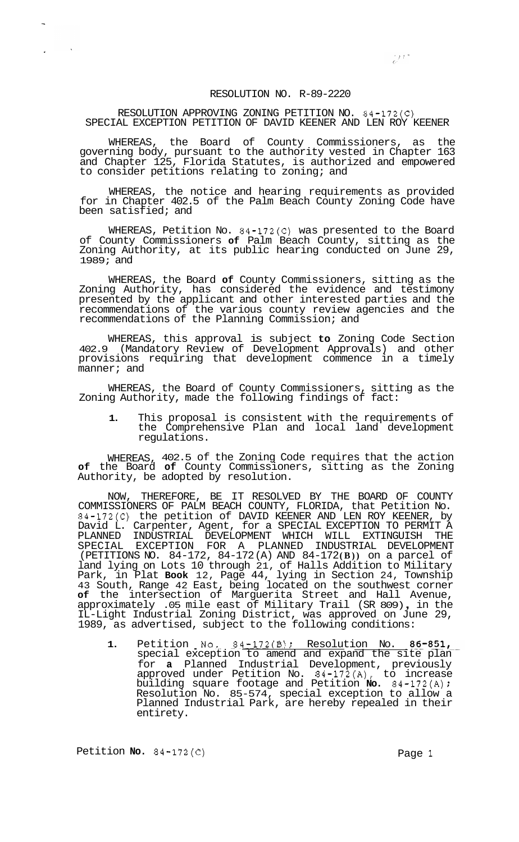## RESOLUTION NO. R-89-2220

## RESOLUTION APPROVING ZONING PETITION NO. 84-172(C) SPECIAL EXCEPTION PETITION OF DAVID KEENER AND LEN ROY KEENER

WHEREAS, the Board of County Commissioners, as the governing body, pursuant to the authority vested in Chapter 163 and Chapter 125, Florida Statutes, is authorized and empowered to consider petitions relating to zoning; and

WHEREAS, the notice and hearing requirements as provided for in Chapter 402.5 of the Palm Beach County Zoning Code have been satisfied; and

WHEREAS, Petition No. 84-172(C) was presented to the Board of County Commissioners **of** Palm Beach County, sitting as the Zoning Authority, at its public hearing conducted on June 29, 1989; and

WHEREAS, the Board **of** County Commissioners, sitting as the Zoning Authority, has considered the evidence and testimony presented by the applicant and other interested parties and the recommendations of the various county review agencies and the recommendations of the Planning Commission; and

WHEREAS, this approval is subject **to** Zoning Code Section 402.9 (Mandatory Review of Development Approvals) and other provisions requiring that development commence in a timely manner; and

WHEREAS, the Board of County Commissioners, sitting as the Zoning Authority, made the following findings of fact:

**1.** This proposal is consistent with the requirements of the Comprehensive Plan and local land development regulations.

WHEREAS, 402.5 of the Zoning Code requires that the action **of** the Board **of** County Commissioners, sitting as the Zoning Authority, be adopted by resolution.

NOW, THEREFORE, BE IT RESOLVED BY THE BOARD OF COUNTY COMMISSIONERS OF PALM BEACH COUNTY, FLORIDA, that Petition No. 84-172(C) the petition of DAVID KEENER AND LEN ROY KEENER, by David L. Carpenter, Agent, for a SPECIAL EXCEPTION TO PERMIT A PLANNED INDUSTRIAL DEVELOPMENT WHICH WILL EXTINGUISH THE SPECIAL EXCEPTION FOR A PLANNED INDUSTRIAL DEVELOPMENT (PETITIONS NO. 84-172, 84-172 (A) AND 84-172 **(B))** on a parcel of land lying on Lots 10 through 21, of Halls Addition to Military Park, in Plat **Book** 12, Page 44, lying in Section 24, Township 43 South, Range 42 East, being located on the southwest corner **of** the intersection of Marguerita Street and Hall Avenue, approximately .05 mile east of Military Trail (SR 809) , in the IL-Light Industrial Zoning District, was approved on June 29, 1989, as advertised, subject to the following conditions:

**1.** Petition No. 84-172(B); Resolution No. 86-851, special exception to amend and expand the site plan for **a** Planned Industrial Development, previously approved under Petition No.  $84-172(A)$ , to increase building square footage and Petition **No.** 84-172(A) *<sup>f</sup>* Resolution No. 85-574, special exception to allow a Planned Industrial Park, are hereby repealed in their entirety.

Petition **No.** 84-172(C) Page 1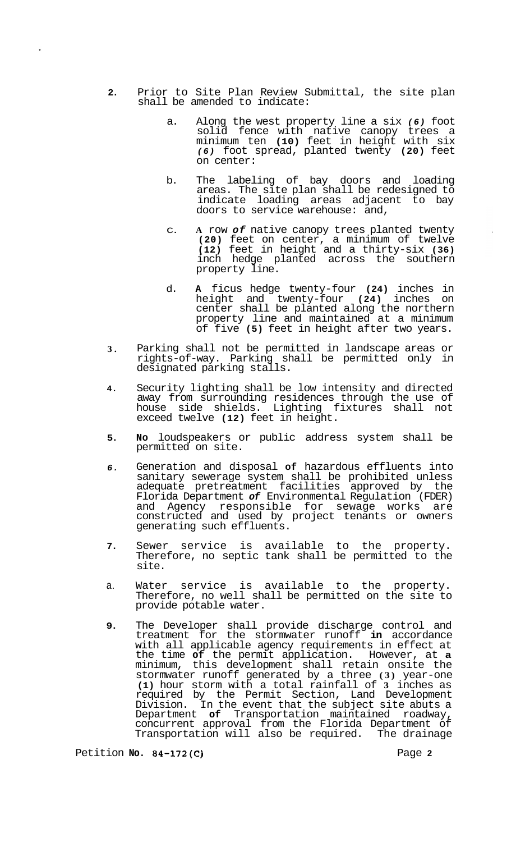- **2.**  Prior to Site Plan Review Submittal, the site plan shall be amended to indicate:
	- a. Along the west property line a six *(6)* foot solid fence with native canopy trees a minimum ten **(10)** feet in height with six *(6)* foot spread, planted twenty **(20)** feet on center:
	- b. The labeling of bay doors and loading areas. The site plan shall be redesigned to indicate loading areas adjacent to bay doors to service warehouse: and,
	- C. **A** row *of* native canopy trees planted twenty **(20)** feet on center, a minimum of twelve **(12)** feet in height and a thirty-six **(36)**  inch hedge planted across the southern property line.
	- d. **A** ficus hedge twenty-four **(24)** inches in height and twenty-four **(24)** inches on center shall be planted along the northern property line and maintained at a minimum of five **(5)** feet in height after two years.
- **3.**  Parking shall not be permitted in landscape areas or rights-of-way. Parking shall be permitted only in designated parking stalls.
- **4.**  Security lighting shall be low intensity and directed away from surrounding residences through the use of house side shields. Lighting fixtures shall not exceed twelve **(12)** feet in height.
- **5. No** loudspeakers or public address system shall be permitted on site.
- *6.*  Generation and disposal **of** hazardous effluents into sanitary sewerage system shall be prohibited unless adequate pretreatment facilities approved by the Florida Department *of* Environmental Regulation (FDER) and Agency responsible for sewage works are constructed and used by project tenants or owners generating such effluents.
- **7.**  Sewer service is available to the property. Therefore, no septic tank shall be permitted to the site.
- a. Water service is available to the property. Therefore, no well shall be permitted on the site to provide potable water.
- **9.**  The Developer shall provide discharge control and treatment for the stormwater runoff **in** accordance with all applicable agency requirements in effect at the time **of** the permit application. However, at **a**  minimum, this development shall retain onsite the stormwater runoff generated by a three **(3)** year-one **(1)** hour storm with a total rainfall of **3** inches as required by the Permit Section, Land Development Division. In the event that the subject site abuts a Department **of** Transportation maintained roadway, concurrent approval from the Florida Department of Transportation will also be required. The drainage

Petition **No. 84-172(C)** Page **2** 

÷.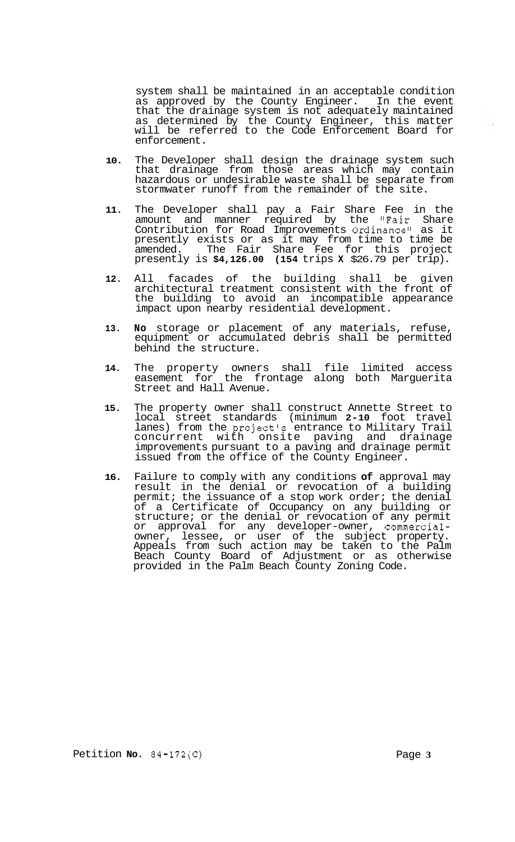system shall be maintained in an acceptable condition as approved by the County Engineer. In the event that the drainage system is not adequately maintained as determined by the County Engineer, this matter will be referred to the Code Enforcement Board for enforcement.

- **10.** The Developer shall design the drainage system such that drainage from those areas which may contain hazardous or undesirable waste shall be separate from stormwater runoff from the remainder of the site.
- **11.** The Developer shall pay a Fair Share Fee in the amount and manner required by the "Fair Share Contribution for Road Improvements Ordinance" as it presently exists or as it may from time to time be amended. The Fair Share Fee for this project presently is **\$4,126.00 (154** trips **X** \$26.79 per trip).
- **12.** All facades of the building shall be given architectural treatment consistent with the front of the building to avoid an incompatible appearance impact upon nearby residential development.
- **13. No** storage or placement of any materials, refuse, equipment or accumulated debris shall be permitted behind the structure.
- **14.** The property owners shall file limited access easement for the frontage along both Marguerita Street and Hall Avenue.
- **15.** The property owner shall construct Annette Street to local street standards (minimum **2-10** foot travel lanes) from the project's entrance to Military Trail concurrent with onsite paving and drainage improvements pursuant to a paving and drainage permit issued from the office of the County Engineer.
- **16.** Failure to comply with any conditions **of** approval may result in the denial or revocation of a building permit; the issuance of a stop work order; the denial of a Certificate of Occupancy on any building or structure; or the denial or revocation of any permit or approval for any developer-owner, commercialowner, lessee, or user of the subject property. Appeals from such action may be taken to the Palm Beach County Board of Adjustment or as otherwise provided in the Palm Beach County Zoning Code.